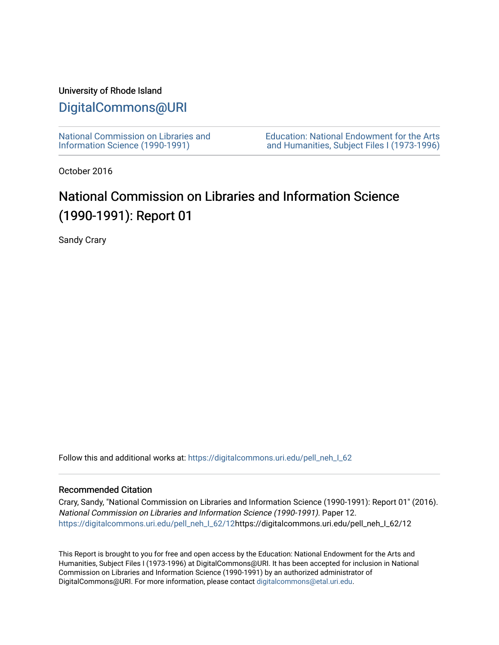### University of Rhode Island

## [DigitalCommons@URI](https://digitalcommons.uri.edu/)

[National Commission on Libraries and](https://digitalcommons.uri.edu/pell_neh_I_62) [Information Science \(1990-1991\)](https://digitalcommons.uri.edu/pell_neh_I_62) 

[Education: National Endowment for the Arts](https://digitalcommons.uri.edu/pell_neh_I)  [and Humanities, Subject Files I \(1973-1996\)](https://digitalcommons.uri.edu/pell_neh_I) 

October 2016

# National Commission on Libraries and Information Science (1990-1991): Report 01

Sandy Crary

Follow this and additional works at: https://digitalcommons.uri.edu/pell\_neh\_I\_62

#### Recommended Citation

Crary, Sandy, "National Commission on Libraries and Information Science (1990-1991): Report 01" (2016). National Commission on Libraries and Information Science (1990-1991). Paper 12. [https://digitalcommons.uri.edu/pell\\_neh\\_I\\_62/12h](https://digitalcommons.uri.edu/pell_neh_I_62/12?utm_source=digitalcommons.uri.edu%2Fpell_neh_I_62%2F12&utm_medium=PDF&utm_campaign=PDFCoverPages)ttps://digitalcommons.uri.edu/pell\_neh\_I\_62/12

This Report is brought to you for free and open access by the Education: National Endowment for the Arts and Humanities, Subject Files I (1973-1996) at DigitalCommons@URI. It has been accepted for inclusion in National Commission on Libraries and Information Science (1990-1991) by an authorized administrator of DigitalCommons@URI. For more information, please contact [digitalcommons@etal.uri.edu.](mailto:digitalcommons@etal.uri.edu)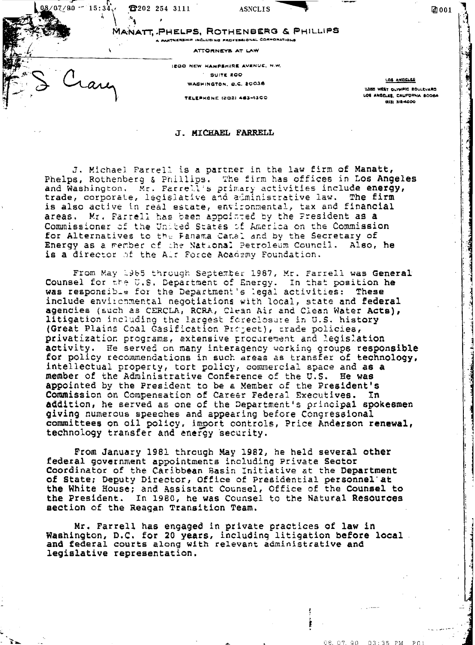$0.8 / 0.7 / 9.0$   $-15 : 34$ . **8202 254 3111** 

**ASNCLIS** 

MANATT, PHELPS, ROTHENBERG & PHILLIPS A PARTNERSHIP INCLUDING PROFESSIONAL CORPORATIONS

ATTÖRNEYS AT LAW

**JEGO NEW HAMPSHIRE AVENUE, N.W. GUITE ROO** WASHINGTON, O.C. 20036

TELEBHONE (202) 443-4100

LOS ANGELES

团001

11355 WEST OLYMPIC BOULEVARD LOS ANGELES, CAUFORNIA BODEA 0000-812 (215)

### J. MICHAEL FARRELL

J. Michael Farrell is a partner in the law firm of Manatt, Phelps, Rothenberg & Phillips. The firm has offices in Los Angeles and Washington. Mr. Farrell's primary activities include energy, trade, corporate, legislative and administrative law. The firm is also active in real estate, environmental, tax and financial Mr. Farrell has been appointed by the President as a areas. Commissioner of the United States of America on the Commission for Alternatives to the Fanama Canal and by the Secretary of Energy as a member of the National Petroleum Council. Also, he is a director of the Air Force Academy Foundation.

From May 1965 through September 1987, Mr. Farrell was General Counsel for the U.S. Department of Energy. In that position he was responsible for the Department's legal activities: These include environmental negotiations with local, state and federal agencies (such as CERCLA, RCRA, Clean Air and Clean Water Acts), litigation including the largest foreclosure in U.S. history (Great Plains Coal Gasification Project), trade policies, privatization programs, extensive procurement and legislation activity. He served on many interagency working groups responsible for policy recommendations in such areas as transfer of technology, intellectual property, tort policy, commercial space and as a member of the Administrative Conference of the U.S. He was appointed by the President to be a Member of the President's Commission on Compensation of Career Federal Executives. In<br>addition, he served as one of the Department's principal spokesmen giving numerous speeches and appearing before Congressional committees on oil policy, import controls, Price Anderson renewal, technology transfer and energy security.

From January 1981 through May 1982, he held several other federal government appointments including Private Sector Coordinator of the Caribbean Basin Initiative at the Department of State; Deputy Director, Office of Presidential personnel at the White House; and Assistant Counsel, Office of the Counsel to the President. In 1980, he was Counsel to the Natural Resources section of the Reagan Transition Team.

Mr. Farrell has engaged in private practices of law in Washington, D.C. for 20 years, including litigation before local. and federal courts along with relevant administrative and legislative representation.